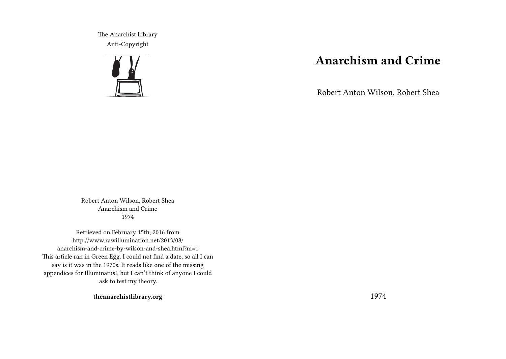The Anarchist Library Anti-Copyright



## **Anarchism and Crime**

Robert Anton Wilson, Robert Shea

Robert Anton Wilson, Robert Shea Anarchism and Crime 1974

Retrieved on February 15th, 2016 from http://www.rawillumination.net/2013/08/ anarchism-and-crime-by-wilson-and-shea.html?m=1 This article ran in Green Egg. I could not find a date, so all I can say is it was in the 1970s. It reads like one of the missing appendices for Illuminatus!, but I can't think of anyone I could ask to test my theory.

**theanarchistlibrary.org**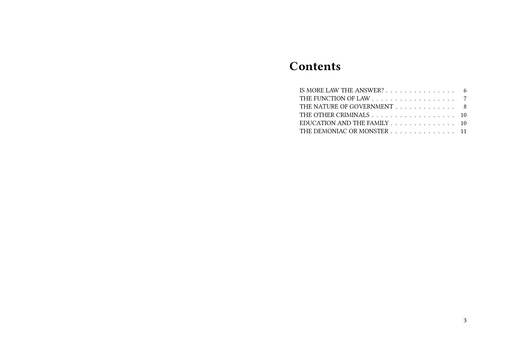# **Contents**

| IS MORE LAW THE ANSWER? 6   |  |
|-----------------------------|--|
|                             |  |
| THE NATURE OF GOVERNMENT 8  |  |
| THE OTHER CRIMINALS 10      |  |
| EDUCATION AND THE FAMILY 10 |  |
| THE DEMONIAC OR MONSTER 11  |  |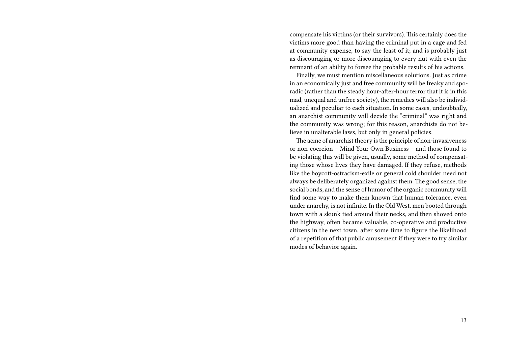compensate his victims (or their survivors). This certainly does the victims more good than having the criminal put in a cage and fed at community expense, to say the least of it; and is probably just as discouraging or more discouraging to every nut with even the remnant of an ability to forsee the probable results of his actions.

Finally, we must mention miscellaneous solutions. Just as crime in an economically just and free community will be freaky and sporadic (rather than the steady hour-after-hour terror that it is in this mad, unequal and unfree society), the remedies will also be individualized and peculiar to each situation. In some cases, undoubtedly, an anarchist community will decide the "criminal" was right and the community was wrong; for this reason, anarchists do not believe in unalterable laws, but only in general policies.

The acme of anarchist theory is the principle of non-invasiveness or non-coercion – Mind Your Own Business – and those found to be violating this will be given, usually, some method of compensating those whose lives they have damaged. If they refuse, methods like the boycott-ostracism-exile or general cold shoulder need not always be deliberately organized against them. The good sense, the social bonds, and the sense of humor of the organic community will find some way to make them known that human tolerance, even under anarchy, is not infinite. In the Old West, men booted through town with a skunk tied around their necks, and then shoved onto the highway, often became valuable, co-operative and productive citizens in the next town, after some time to figure the likelihood of a repetition of that public amusement if they were to try similar modes of behavior again.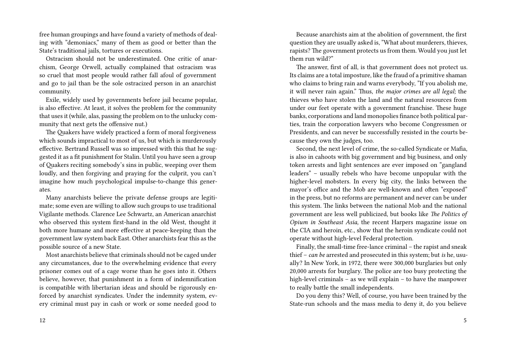free human groupings and have found a variety of methods of dealing with "demoniacs," many of them as good or better than the State's traditional jails, tortures or executions.

Ostracism should not be underestimated. One critic of anarchism, George Orwell, actually complained that ostracism was so cruel that most people would rather fall afoul of government and go to jail than be the sole ostracized person in an anarchist community.

Exile, widely used by governments before jail became popular, is also effective. At least, it solves the problem for the community that uses it (while, alas, passing the problem on to the unlucky community that next gets the offensive nut.)

The Quakers have widely practiced a form of moral forgiveness which sounds impractical to most of us, but which is murderously effective. Bertrand Russell was so impressed with this that he suggested it as a fit punishment for Stalin. Until you have seen a group of Quakers reciting somebody's sins in public, weeping over them loudly, and then forgiving and praying for the culprit, you can't imagine how much psychological impulse-to-change this generates.

Many anarchists believe the private defense groups are legitimate; some even are willing to allow such groups to use traditional Vigilante methods. Clarence Lee Schwartz, an American anarchist who observed this system first-hand in the old West, thought it both more humane and more effective at peace-keeping than the government law system back East. Other anarchists fear this as the possible source of a new State.

Most anarchists believe that criminals should not be caged under any circumstances, due to the overwhelming evidence that every prisoner comes out of a cage worse than he goes into it. Others believe, however, that punishment in a form of indemnification is compatible with libertarian ideas and should be rigorously enforced by anarchist syndicates. Under the indemnity system, every criminal must pay in cash or work or some needed good to

12

Because anarchists aim at the abolition of government, the first question they are usually asked is, "What about murderers, thieves, rapists? The government protects us from them. Would you just let them run wild?"

The answer, first of all, is that government does not protect us. Its claims are a total imposture, like the fraud of a primitive shaman who claims to bring rain and warns everybody, "If you abolish me, it will never rain again." Thus, *the major crimes are all legal;* the thieves who have stolen the land and the natural resources from under our feet operate with a government franchise. These huge banks, corporations and land monopolies finance both political parties, train the corporation lawyers who become Congressmen or Presidents, and can never be successfully resisted in the courts because they own the judges, too.

Second, the next level of crime, the so-called Syndicate or Mafia, is also in cahoots with big government and big business, and only token arrests and light sentences are ever imposed on "gangland leaders" – usually rebels who have become unpopular with the higher-level mobsters. In every big city, the links between the mayor's office and the Mob are well-known and often "exposed" in the press, but no reforms are permanent and never can be under this system. The links between the national Mob and the national government are less well publicized, but books like *The Politics of Opium in Southeast Asia,* the recent Harpers magazine issue on the CIA and heroin, etc., show that the heroin syndicate could not operate without high-level Federal protection.

Finally, the small-time free-lance criminal – the rapist and sneak thief – *can be* arrested and prosecuted in this system; but *is* he, usually? In New York, in 1972, there were 300,000 burglaries but only 20,000 arrests for burglary. The police are too busy protecting the high-level criminals – as we will explain – to have the manpower to really battle the small independents.

Do you deny this? Well, of course, you have been trained by the State-run schools and the mass media to deny it, do you believe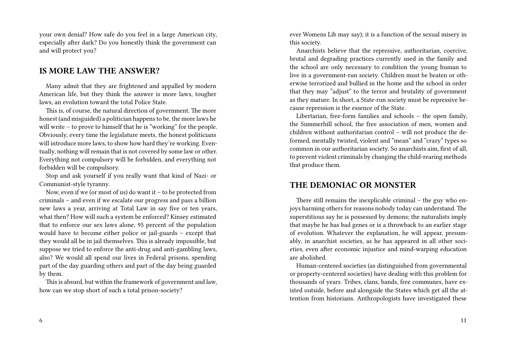your own denial? How safe do you feel in a large American city, especially after dark? Do you honestly think the government can and will protect you?

## **IS MORE LAW THE ANSWER?**

Many admit that they are frightened and appalled by modern American life, but they think the answer is more laws, tougher laws, an evolution toward the total Police State.

This is, of course, the natural direction of government. The more honest (and misguided) a politician happens to be, the more laws he will write – to prove to himself that he is "working" for the people. Obviously, every time the legislature meets, the honest politicians will introduce more laws, to show how hard they're working. Eventually, nothing will remain that is not covered by some law or other. Everything not compulsory will be forbidden, and everything not forbidden will be compulsory.

Stop and ask yourself if you really want that kind of Nazi- or Communist-style tyranny.

Now, even if we (or most of us) do want it – to be protected from criminals – and even if we escalate our progress and pass a billion new laws a year, arriving at Total Law in say five or ten years, what then? How will such a system be enforced? Kinsey estimated that to enforce our sex laws alone, 95 percent of the population would have to become either police or jail-guards – except that they would all be in jail themselves. This is already impossible, but suppose we tried to enforce the anti-drug and anti-gambling laws, also? We would all spend our lives in Federal prisons, spending part of the day guarding others and part of the day being guarded by them.

This is absurd, but within the framework of government and law, how can we stop short of such a total prison-society?

6

ever Womens Lib may say); it is a function of the sexual misery in this society.

Anarchists believe that the repressive, authoritarian, coercive, brutal and degrading practices currently used in the family and the school are only necessary to condition the young human to live in a government-run society. Children must be beaten or otherwise terrorized and bullied in the home and the school in order that they may "adjust" to the terror and brutality of government as they mature. In short, a State-run society must be repressive because repression is the essence of the State.

Libertarian, free-form families and schools – the open family, the Summerhill school, the free association of men, women and children without authoritarian control – will not produce the deformed, mentally twisted, violent and "mean" and "crazy" types so common in our authoritarian society. So anarchists aim, first of all, to prevent violent criminals by changing the child-rearing methods that produce them.

## **THE DEMONIAC OR MONSTER**

There still remains the inexplicable criminal – the guy who enjoys harming others for reasons nobody today can understand. The superstitious say he is possessed by demons; the naturalists imply that maybe he has bad genes or is a throwback to an earlier stage of evolution. Whatever the explanation, he will appear, presumably, in anarchist societies, as he has appeared in all other societies, even after economic injustice and mind-warping education are abolished.

Human-centered societies (as distinguished from governmental or property-centered societies) have dealing with this problem for thousands of years. Tribes, clans, bands, free communes, have existed outside, before and alongside the States which get all the attention from historians. Anthropologists have investigated these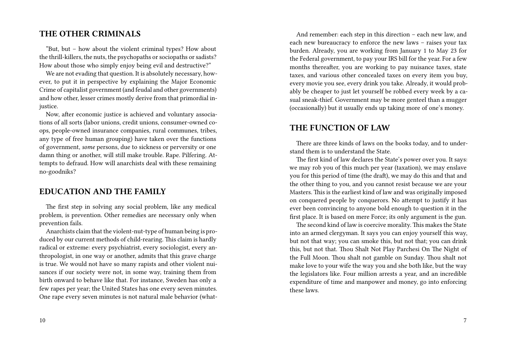## **THE OTHER CRIMINALS**

"But, but – how about the violent criminal types? How about the thrill-killers, the nuts, the psychopaths or sociopaths or sadists? How about those who simply enjoy being evil and destructive?"

We are not evading that question. It is absolutely necessary, however, to put it in perspective by explaining the Major Economic Crime of capitalist government (and feudal and other governments) and how other, lesser crimes mostly derive from that primordial injustice.

Now, after economic justice is achieved and voluntary associations of all sorts (labor unions, credit unions, consumer-owned coops, people-owned insurance companies, rural communes, tribes, any type of free human grouping) have taken over the functions of government, *some* persons, due to sickness or perversity or one damn thing or another, will still make trouble. Rape. Pilfering. Attempts to defraud. How will anarchists deal with these remaining no-goodniks?

## **EDUCATION AND THE FAMILY**

The first step in solving any social problem, like any medical problem, is prevention. Other remedies are necessary only when prevention fails.

Anarchists claim that the violent-nut-type of human being is produced by our current methods of child-rearing. This claim is hardly radical or extreme: every psychiatrist, every sociologist, every anthropologist, in one way or another, admits that this grave charge is true. We would not have so many rapists and other violent nuisances if our society were not, in some way, training them from birth onward to behave like that. For instance, Sweden has only a few rapes per year; the United States has one every seven minutes. One rape every seven minutes is not natural male behavior (what-

And remember: each step in this direction – each new law, and each new bureaucracy to enforce the new laws – raises your tax burden. Already, you are working from January 1 to May 23 for the Federal government, to pay your IRS bill for the year. For a few months thereafter, you are working to pay nuisance taxes, state taxes, and various other concealed taxes on every item you buy, every movie you see, every drink you take. Already, it would probably be cheaper to just let yourself be robbed every week by a casual sneak-thief. Government may be more genteel than a mugger (occasionally) but it usually ends up taking more of one's money.

## **THE FUNCTION OF LAW**

There are three kinds of laws on the books today, and to understand them is to understand the State.

The first kind of law declares the State's power over you. It says: we may rob you of this much per year (taxation), we may enslave you for this period of time (the draft), we may do this and that and the other thing to you, and you cannot resist because we are your Masters. This is the earliest kind of law and was originally imposed on conquered people by conquerors. No attempt to justify it has ever been convincing to anyone bold enough to question it in the first place. It is based on mere Force; its only argument is the gun.

The second kind of law is coercive morality. This makes the State into an armed clergyman. It says you can enjoy yourself this way, but not that way; you can smoke this, but not that; you can drink this, but not that. Thou Shalt Not Play Parchesi On The Night of the Full Moon. Thou shalt not gamble on Sunday. Thou shalt not make love to your wife the way you and she both like, but the way the legislators like. Four million arrests a year, and an incredible expenditure of time and manpower and money, go into enforcing these laws.